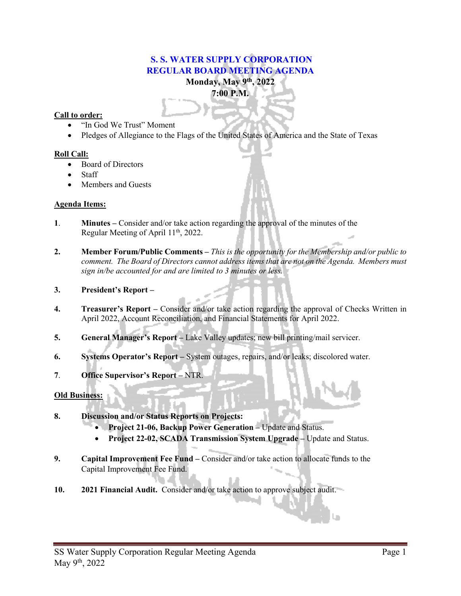# **S. S. WATER SUPPLY CORPORATION REGULAR BOARD MEETING AGENDA Monday, May 9th, 2022**

**7:00 P.M.**

## **Call to order:**

- "In God We Trust" Moment
- Pledges of Allegiance to the Flags of the United States of America and the State of Texas

## **Roll Call:**

- Board of Directors
- **Staff**
- Members and Guests

## **Agenda Items:**

- **1**. **Minutes –** Consider and/or take action regarding the approval of the minutes of the Regular Meeting of April 11<sup>th</sup>, 2022.
- **2. Member Forum/Public Comments –** *This is the opportunity for the Membership and/or public to comment. The Board of Directors cannot address items that are not on the Agenda. Members must sign in/be accounted for and are limited to 3 minutes or less.*
- **3. President's Report –**
- **4. Treasurer's Report –** Consider and/or take action regarding the approval of Checks Written in April 2022, Account Reconciliation, and Financial Statements for April 2022.
- **5. General Manager's Report –** Lake Valley updates; new bill printing/mail servicer.
- **6. Systems Operator's Report –** System outages, repairs, and/or leaks; discolored water.
- **7**. **Office Supervisor's Report –** NTR.

## **Old Business:**

- **8. Discussion and/or Status Reports on Projects:**
	- **Project 21-06, Backup Power Generation –** Update and Status.
	- **Project 22-02, SCADA Transmission System Upgrade –** Update and Status.
- **9. Capital Improvement Fee Fund –** Consider and/or take action to allocate funds to the Capital Improvement Fee Fund.
- **10. 2021 Financial Audit.** Consider and/or take action to approve subject audit.